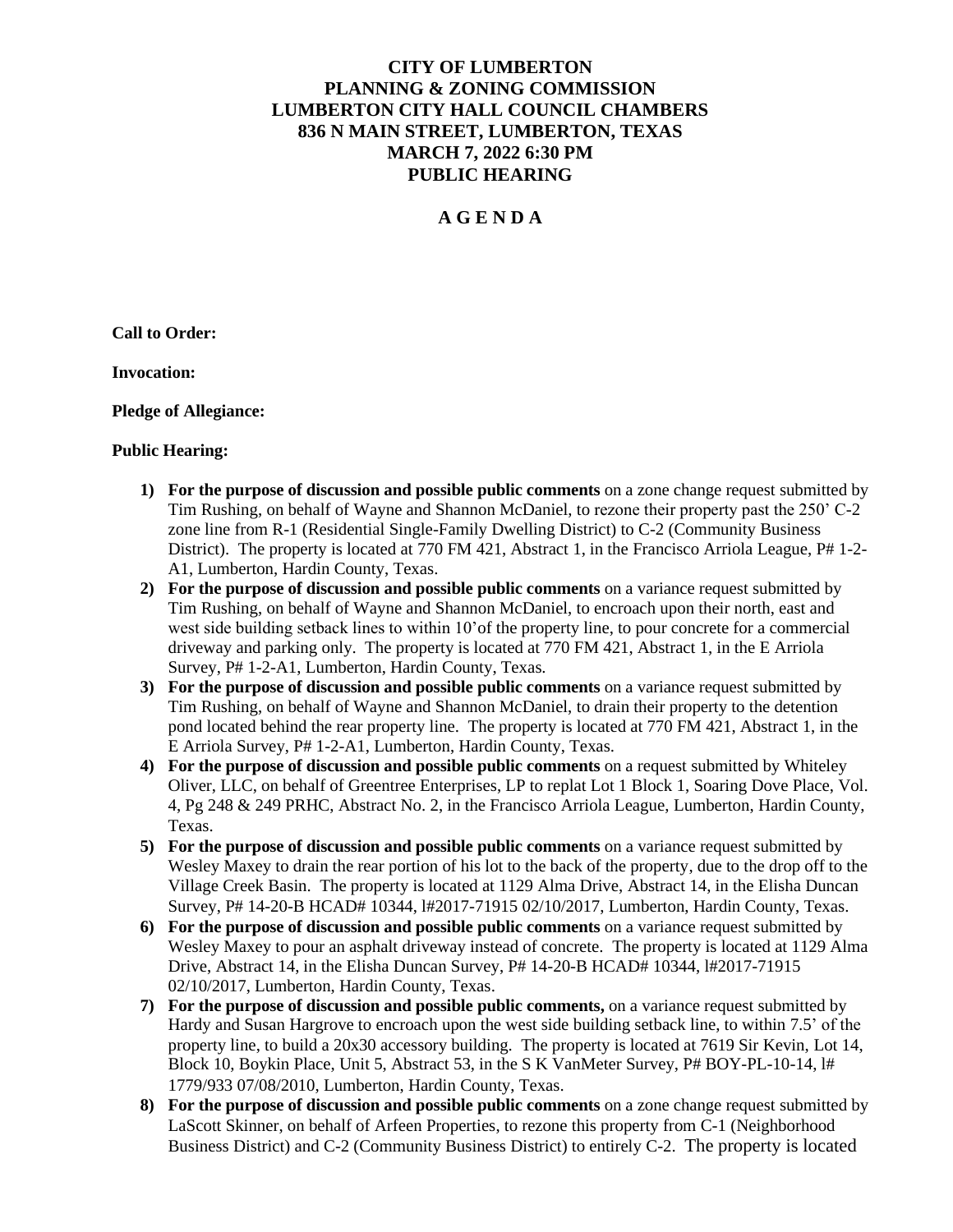# **CITY OF LUMBERTON PLANNING & ZONING COMMISSION LUMBERTON CITY HALL COUNCIL CHAMBERS 836 N MAIN STREET, LUMBERTON, TEXAS MARCH 7, 2022 6:30 PM PUBLIC HEARING**

## **A G E N D A**

**Call to Order:** 

**Invocation:**

**Pledge of Allegiance:** 

#### **Public Hearing:**

- **1) For the purpose of discussion and possible public comments** on a zone change request submitted by Tim Rushing, on behalf of Wayne and Shannon McDaniel, to rezone their property past the 250' C-2 zone line from R-1 (Residential Single-Family Dwelling District) to C-2 (Community Business District). The property is located at 770 FM 421, Abstract 1, in the Francisco Arriola League, P# 1-2- A1, Lumberton, Hardin County, Texas.
- **2) For the purpose of discussion and possible public comments** on a variance request submitted by Tim Rushing, on behalf of Wayne and Shannon McDaniel, to encroach upon their north, east and west side building setback lines to within 10'of the property line, to pour concrete for a commercial driveway and parking only. The property is located at 770 FM 421, Abstract 1, in the E Arriola Survey, P# 1-2-A1, Lumberton, Hardin County, Texas.
- **3) For the purpose of discussion and possible public comments** on a variance request submitted by Tim Rushing, on behalf of Wayne and Shannon McDaniel, to drain their property to the detention pond located behind the rear property line. The property is located at 770 FM 421, Abstract 1, in the E Arriola Survey, P# 1-2-A1, Lumberton, Hardin County, Texas.
- **4) For the purpose of discussion and possible public comments** on a request submitted by Whiteley Oliver, LLC, on behalf of Greentree Enterprises, LP to replat Lot 1 Block 1, Soaring Dove Place, Vol. 4, Pg 248 & 249 PRHC, Abstract No. 2, in the Francisco Arriola League, Lumberton, Hardin County, Texas.
- **5) For the purpose of discussion and possible public comments** on a variance request submitted by Wesley Maxey to drain the rear portion of his lot to the back of the property, due to the drop off to the Village Creek Basin. The property is located at 1129 Alma Drive, Abstract 14, in the Elisha Duncan Survey, P# 14-20-B HCAD# 10344, l#2017-71915 02/10/2017, Lumberton, Hardin County, Texas.
- **6) For the purpose of discussion and possible public comments** on a variance request submitted by Wesley Maxey to pour an asphalt driveway instead of concrete. The property is located at 1129 Alma Drive, Abstract 14, in the Elisha Duncan Survey, P# 14-20-B HCAD# 10344, l#2017-71915 02/10/2017, Lumberton, Hardin County, Texas.
- **7) For the purpose of discussion and possible public comments,** on a variance request submitted by Hardy and Susan Hargrove to encroach upon the west side building setback line, to within 7.5' of the property line, to build a 20x30 accessory building. The property is located at 7619 Sir Kevin, Lot 14, Block 10, Boykin Place, Unit 5, Abstract 53, in the S K VanMeter Survey, P# BOY-PL-10-14, l# 1779/933 07/08/2010, Lumberton, Hardin County, Texas.
- **8) For the purpose of discussion and possible public comments** on a zone change request submitted by LaScott Skinner, on behalf of Arfeen Properties, to rezone this property from C-1 (Neighborhood Business District) and C-2 (Community Business District) to entirely C-2. The property is located